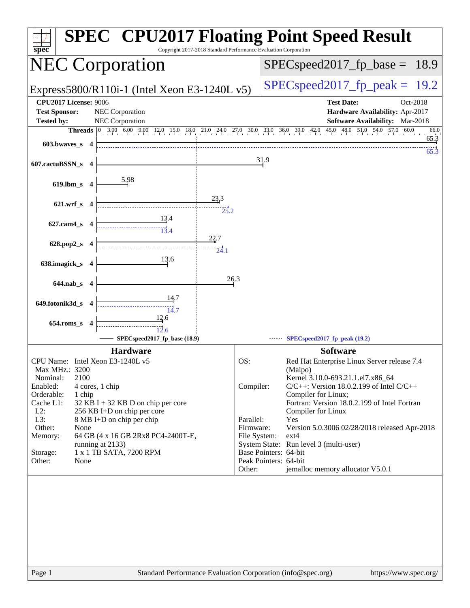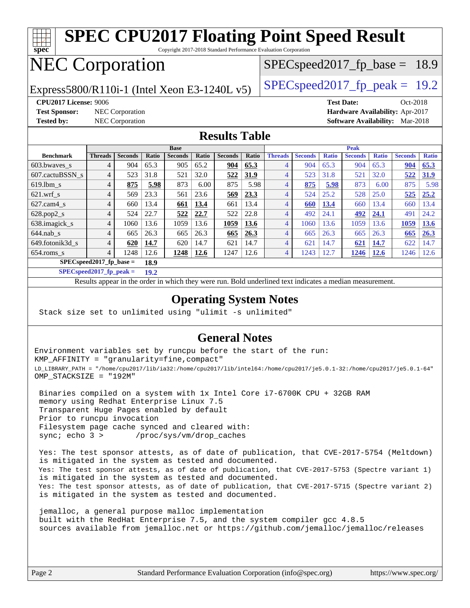

### **[Operating System Notes](http://www.spec.org/auto/cpu2017/Docs/result-fields.html#OperatingSystemNotes)**

Results appear in the [order in which they were run.](http://www.spec.org/auto/cpu2017/Docs/result-fields.html#RunOrder) Bold underlined text [indicates a median measurement](http://www.spec.org/auto/cpu2017/Docs/result-fields.html#Median).

[644.nab\\_s](http://www.spec.org/auto/cpu2017/Docs/benchmarks/644.nab_s.html) 4 665 26.3 665 26.3 **[665](http://www.spec.org/auto/cpu2017/Docs/result-fields.html#Median) [26.3](http://www.spec.org/auto/cpu2017/Docs/result-fields.html#Median)** 4 665 26.3 665 26.3 **[665](http://www.spec.org/auto/cpu2017/Docs/result-fields.html#Median) [26.3](http://www.spec.org/auto/cpu2017/Docs/result-fields.html#Median)** [649.fotonik3d\\_s](http://www.spec.org/auto/cpu2017/Docs/benchmarks/649.fotonik3d_s.html) 4 **[620](http://www.spec.org/auto/cpu2017/Docs/result-fields.html#Median) [14.7](http://www.spec.org/auto/cpu2017/Docs/result-fields.html#Median)** 620 14.7 621 14.7 4 621 14.7 **[621](http://www.spec.org/auto/cpu2017/Docs/result-fields.html#Median) [14.7](http://www.spec.org/auto/cpu2017/Docs/result-fields.html#Median)** 622 14.7 [654.roms\\_s](http://www.spec.org/auto/cpu2017/Docs/benchmarks/654.roms_s.html) 4 1248 12.6 **[1248](http://www.spec.org/auto/cpu2017/Docs/result-fields.html#Median) [12.6](http://www.spec.org/auto/cpu2017/Docs/result-fields.html#Median)** 1247 12.6 4 1243 12.7 **[1246](http://www.spec.org/auto/cpu2017/Docs/result-fields.html#Median) [12.6](http://www.spec.org/auto/cpu2017/Docs/result-fields.html#Median)** 1246 12.6

Stack size set to unlimited using "ulimit -s unlimited"

**[SPECspeed2017\\_fp\\_base =](http://www.spec.org/auto/cpu2017/Docs/result-fields.html#SPECspeed2017fpbase) 18.9 [SPECspeed2017\\_fp\\_peak =](http://www.spec.org/auto/cpu2017/Docs/result-fields.html#SPECspeed2017fppeak) 19.2**

### **[General Notes](http://www.spec.org/auto/cpu2017/Docs/result-fields.html#GeneralNotes)**

Environment variables set by runcpu before the start of the run: KMP\_AFFINITY = "granularity=fine,compact" LD\_LIBRARY\_PATH = "/home/cpu2017/lib/ia32:/home/cpu2017/lib/intel64:/home/cpu2017/je5.0.1-32:/home/cpu2017/je5.0.1-64" OMP\_STACKSIZE = "192M"

 Binaries compiled on a system with 1x Intel Core i7-6700K CPU + 32GB RAM memory using Redhat Enterprise Linux 7.5 Transparent Huge Pages enabled by default Prior to runcpu invocation Filesystem page cache synced and cleared with: sync; echo 3 > /proc/sys/vm/drop\_caches

 Yes: The test sponsor attests, as of date of publication, that CVE-2017-5754 (Meltdown) is mitigated in the system as tested and documented. Yes: The test sponsor attests, as of date of publication, that CVE-2017-5753 (Spectre variant 1) is mitigated in the system as tested and documented. Yes: The test sponsor attests, as of date of publication, that CVE-2017-5715 (Spectre variant 2) is mitigated in the system as tested and documented.

 jemalloc, a general purpose malloc implementation built with the RedHat Enterprise 7.5, and the system compiler gcc 4.8.5 sources available from jemalloc.net or <https://github.com/jemalloc/jemalloc/releases>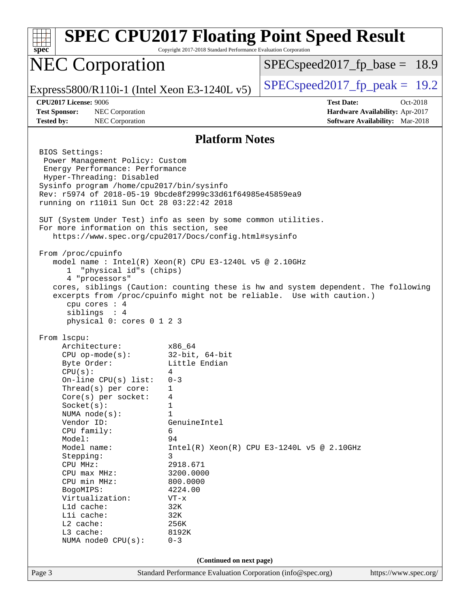| $spec*$                                                                                                                                                                                                                                                                                                                                                                                                                                           | Copyright 2017-2018 Standard Performance Evaluation Corporation                                                                                                                                                                      | <b>SPEC CPU2017 Floating Point Speed Result</b>                                                                                                             |  |  |  |
|---------------------------------------------------------------------------------------------------------------------------------------------------------------------------------------------------------------------------------------------------------------------------------------------------------------------------------------------------------------------------------------------------------------------------------------------------|--------------------------------------------------------------------------------------------------------------------------------------------------------------------------------------------------------------------------------------|-------------------------------------------------------------------------------------------------------------------------------------------------------------|--|--|--|
| <b>NEC Corporation</b>                                                                                                                                                                                                                                                                                                                                                                                                                            |                                                                                                                                                                                                                                      | $SPEC speed2017_f p\_base = 18.9$                                                                                                                           |  |  |  |
| Express5800/R110i-1 (Intel Xeon E3-1240L $v5$ )                                                                                                                                                                                                                                                                                                                                                                                                   |                                                                                                                                                                                                                                      | $SPEC speed2017fp peak = 19.2$                                                                                                                              |  |  |  |
| <b>CPU2017 License: 9006</b><br><b>Test Sponsor:</b><br>NEC Corporation<br><b>Tested by:</b><br>NEC Corporation                                                                                                                                                                                                                                                                                                                                   |                                                                                                                                                                                                                                      | <b>Test Date:</b><br>Oct-2018<br>Hardware Availability: Apr-2017<br><b>Software Availability:</b> Mar-2018                                                  |  |  |  |
| <b>Platform Notes</b>                                                                                                                                                                                                                                                                                                                                                                                                                             |                                                                                                                                                                                                                                      |                                                                                                                                                             |  |  |  |
| BIOS Settings:<br>Power Management Policy: Custom<br>Energy Performance: Performance<br>Hyper-Threading: Disabled<br>Sysinfo program /home/cpu2017/bin/sysinfo<br>Rev: r5974 of 2018-05-19 9bcde8f2999c33d61f64985e45859ea9<br>running on r110i1 Sun Oct 28 03:22:42 2018<br>SUT (System Under Test) info as seen by some common utilities.<br>For more information on this section, see<br>https://www.spec.org/cpu2017/Docs/config.html#sysinfo |                                                                                                                                                                                                                                      |                                                                                                                                                             |  |  |  |
| From /proc/cpuinfo<br>model name : Intel(R) Xeon(R) CPU E3-1240L v5 @ 2.10GHz<br>"physical id"s (chips)<br>ı.<br>4 "processors"<br>cpu cores : 4<br>siblings : 4<br>physical 0: cores 0 1 2 3                                                                                                                                                                                                                                                     |                                                                                                                                                                                                                                      | cores, siblings (Caution: counting these is hw and system dependent. The following<br>excerpts from /proc/cpuinfo might not be reliable. Use with caution.) |  |  |  |
| From lscpu:<br>Architecture:<br>$CPU$ op-mode( $s$ ):<br>Byte Order:<br>CPU(s):<br>On-line CPU(s) list:<br>Thread(s) per core:<br>Core(s) per socket:<br>Socket(s):<br>NUMA $node(s)$ :<br>Vendor ID:<br>CPU family:<br>Model:<br>Model name:<br>Stepping:<br>CPU MHz:<br>CPU max MHz:<br>CPU min MHz:<br>BogoMIPS:<br>Virtualization:<br>L1d cache:<br>Lli cache:<br>L2 cache:<br>L3 cache:<br>NUMA node0 CPU(s):                                | x86 64<br>$32$ -bit, $64$ -bit<br>Little Endian<br>4<br>$0 - 3$<br>1<br>4<br>1<br>$\mathbf{1}$<br>GenuineIntel<br>6<br>94<br>3<br>2918.671<br>3200.0000<br>800.0000<br>4224.00<br>$VT - x$<br>32K<br>32K<br>256K<br>8192K<br>$0 - 3$ | $Intel(R) Xeon(R) CPU E3-1240L v5 @ 2.10GHz$                                                                                                                |  |  |  |
| (Continued on next page)<br>Standard Performance Evaluation Corporation (info@spec.org)                                                                                                                                                                                                                                                                                                                                                           |                                                                                                                                                                                                                                      |                                                                                                                                                             |  |  |  |
| Page 3                                                                                                                                                                                                                                                                                                                                                                                                                                            |                                                                                                                                                                                                                                      | https://www.spec.org/                                                                                                                                       |  |  |  |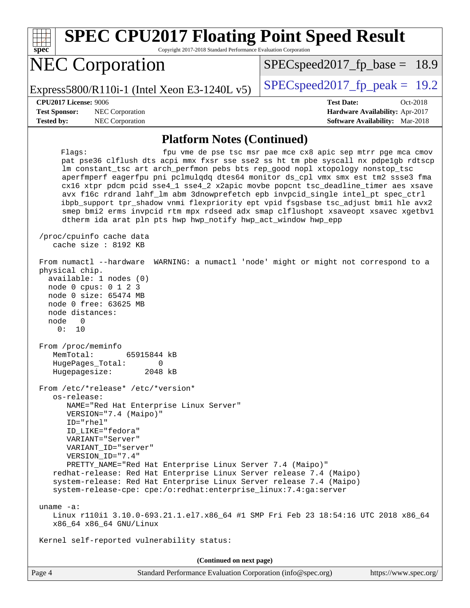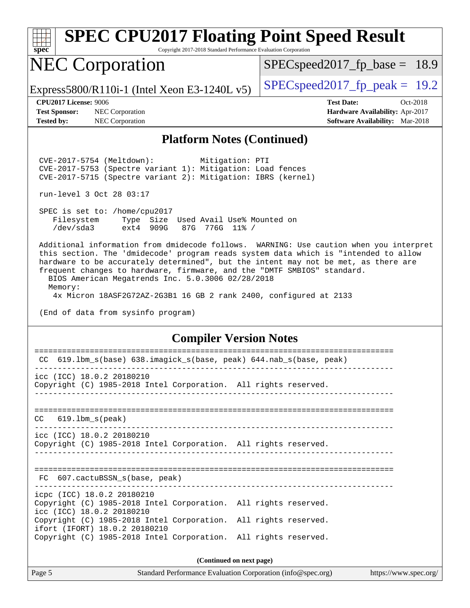

### **[Platform Notes \(Continued\)](http://www.spec.org/auto/cpu2017/Docs/result-fields.html#PlatformNotes)**

 CVE-2017-5754 (Meltdown): Mitigation: PTI CVE-2017-5753 (Spectre variant 1): Mitigation: Load fences CVE-2017-5715 (Spectre variant 2): Mitigation: IBRS (kernel)

run-level 3 Oct 28 03:17

 SPEC is set to: /home/cpu2017 Filesystem Type Size Used Avail Use% Mounted on /dev/sda3 ext4 909G 87G 776G 11% /

 Additional information from dmidecode follows. WARNING: Use caution when you interpret this section. The 'dmidecode' program reads system data which is "intended to allow hardware to be accurately determined", but the intent may not be met, as there are frequent changes to hardware, firmware, and the "DMTF SMBIOS" standard.

 BIOS American Megatrends Inc. 5.0.3006 02/28/2018 Memory:

4x Micron 18ASF2G72AZ-2G3B1 16 GB 2 rank 2400, configured at 2133

(End of data from sysinfo program)

### **[Compiler Version Notes](http://www.spec.org/auto/cpu2017/Docs/result-fields.html#CompilerVersionNotes)**

| 619.1bm_s(base) 638.imagick_s(base, peak) 644.nab_s(base, peak)<br>CC                                                                                               |  |  |  |  |  |
|---------------------------------------------------------------------------------------------------------------------------------------------------------------------|--|--|--|--|--|
| icc (ICC) 18.0.2 20180210<br>Copyright (C) 1985-2018 Intel Corporation. All rights reserved.                                                                        |  |  |  |  |  |
| $CC$ 619.1bm $s$ (peak)                                                                                                                                             |  |  |  |  |  |
| icc (ICC) 18.0.2 20180210<br>Copyright (C) 1985-2018 Intel Corporation. All rights reserved.                                                                        |  |  |  |  |  |
| FC 607.cactuBSSN s(base, peak)                                                                                                                                      |  |  |  |  |  |
| icpc (ICC) 18.0.2 20180210<br>Copyright (C) 1985-2018 Intel Corporation. All rights reserved.<br>icc (ICC) 18.0.2 20180210                                          |  |  |  |  |  |
| Copyright (C) 1985-2018 Intel Corporation. All rights reserved.<br>ifort (IFORT) 18.0.2 20180210<br>Copyright (C) 1985-2018 Intel Corporation. All rights reserved. |  |  |  |  |  |
| (Continued on next page)                                                                                                                                            |  |  |  |  |  |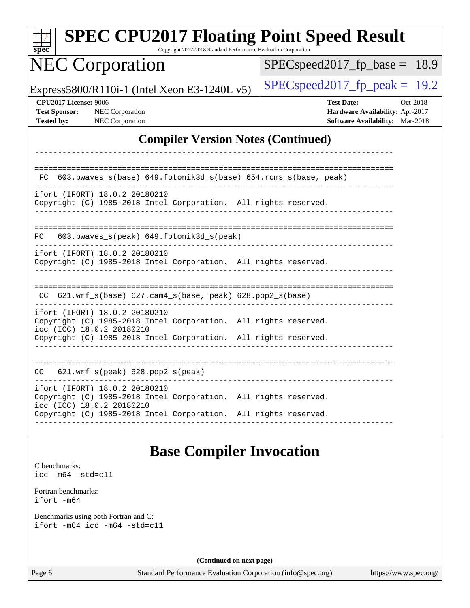| <b>SPEC CPU2017 Floating Point Speed Result</b><br>Copyright 2017-2018 Standard Performance Evaluation Corporation<br>spec <sup>®</sup>                                                          |                                                                                                     |  |  |  |  |  |
|--------------------------------------------------------------------------------------------------------------------------------------------------------------------------------------------------|-----------------------------------------------------------------------------------------------------|--|--|--|--|--|
| <b>NEC Corporation</b>                                                                                                                                                                           | $SPEC speed2017_f p\_base = 18.9$                                                                   |  |  |  |  |  |
| Express5800/R110i-1 (Intel Xeon E3-1240L v5)                                                                                                                                                     | $SPEC speed2017_fp\_peak = 19.2$                                                                    |  |  |  |  |  |
| CPU2017 License: 9006<br><b>Test Sponsor:</b><br>NEC Corporation<br>NEC Corporation<br><b>Tested by:</b>                                                                                         | <b>Test Date:</b><br>Oct-2018<br>Hardware Availability: Apr-2017<br>Software Availability: Mar-2018 |  |  |  |  |  |
| <b>Compiler Version Notes (Continued)</b>                                                                                                                                                        |                                                                                                     |  |  |  |  |  |
|                                                                                                                                                                                                  |                                                                                                     |  |  |  |  |  |
| 603.bwaves_s(base) 649.fotonik3d_s(base) 654.roms_s(base, peak)<br>FC.                                                                                                                           |                                                                                                     |  |  |  |  |  |
| ifort (IFORT) 18.0.2 20180210<br>Copyright (C) 1985-2018 Intel Corporation. All rights reserved.                                                                                                 |                                                                                                     |  |  |  |  |  |
| 603.bwaves_s(peak) 649.fotonik3d_s(peak)<br>FC                                                                                                                                                   |                                                                                                     |  |  |  |  |  |
| ifort (IFORT) 18.0.2 20180210<br>Copyright (C) 1985-2018 Intel Corporation. All rights reserved.                                                                                                 |                                                                                                     |  |  |  |  |  |
| $CC$ 621.wrf_s(base) 627.cam4_s(base, peak) 628.pop2_s(base)                                                                                                                                     |                                                                                                     |  |  |  |  |  |
| ifort (IFORT) 18.0.2 20180210<br>Copyright (C) 1985-2018 Intel Corporation. All rights reserved.<br>icc (ICC) 18.0.2 20180210<br>Copyright (C) 1985-2018 Intel Corporation. All rights reserved. |                                                                                                     |  |  |  |  |  |
| CC 621.wrf_s(peak) 628.pop2_s(peak)                                                                                                                                                              |                                                                                                     |  |  |  |  |  |
| ifort (IFORT) 18.0.2 20180210<br>Copyright (C) 1985-2018 Intel Corporation. All rights reserved.<br>icc (ICC) 18.0.2 20180210                                                                    |                                                                                                     |  |  |  |  |  |
| Copyright (C) 1985-2018 Intel Corporation. All rights reserved.                                                                                                                                  |                                                                                                     |  |  |  |  |  |
| <b>Base Compiler Invocation</b>                                                                                                                                                                  |                                                                                                     |  |  |  |  |  |
| C benchmarks:<br>$\text{icc -m64 -std=c11}$                                                                                                                                                      |                                                                                                     |  |  |  |  |  |
| Fortran benchmarks:<br>ifort -m64                                                                                                                                                                |                                                                                                     |  |  |  |  |  |
| Benchmarks using both Fortran and C:<br>ifort -m64 icc -m64 -std=c11                                                                                                                             |                                                                                                     |  |  |  |  |  |
| (Continued on next page)                                                                                                                                                                         |                                                                                                     |  |  |  |  |  |

Page 6 Standard Performance Evaluation Corporation [\(info@spec.org\)](mailto:info@spec.org) <https://www.spec.org/>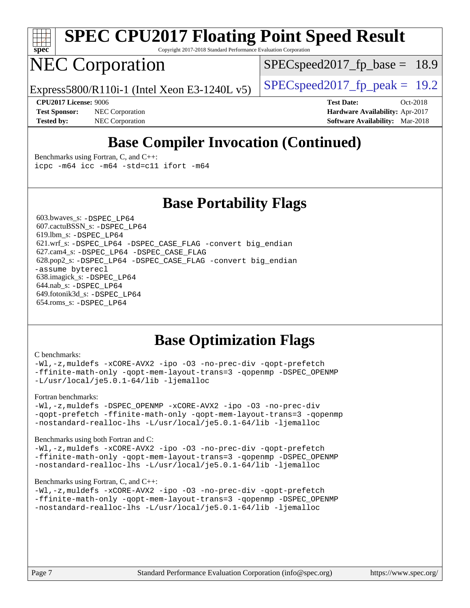

# **[SPEC CPU2017 Floating Point Speed Result](http://www.spec.org/auto/cpu2017/Docs/result-fields.html#SPECCPU2017FloatingPointSpeedResult)**

Copyright 2017-2018 Standard Performance Evaluation Corporation

# NEC Corporation

 $SPECspeed2017<sub>fp</sub> base = 18.9$ 

Express5800/R110i-1 (Intel Xeon E3-1240L v5)  $\left|$  [SPECspeed2017\\_fp\\_peak =](http://www.spec.org/auto/cpu2017/Docs/result-fields.html#SPECspeed2017fppeak) 19.2

**[Test Sponsor:](http://www.spec.org/auto/cpu2017/Docs/result-fields.html#TestSponsor)** NEC Corporation **[Hardware Availability:](http://www.spec.org/auto/cpu2017/Docs/result-fields.html#HardwareAvailability)** Apr-2017 **[Tested by:](http://www.spec.org/auto/cpu2017/Docs/result-fields.html#Testedby)** NEC Corporation **[Software Availability:](http://www.spec.org/auto/cpu2017/Docs/result-fields.html#SoftwareAvailability)** Mar-2018

**[CPU2017 License:](http://www.spec.org/auto/cpu2017/Docs/result-fields.html#CPU2017License)** 9006 **[Test Date:](http://www.spec.org/auto/cpu2017/Docs/result-fields.html#TestDate)** Oct-2018

## **[Base Compiler Invocation \(Continued\)](http://www.spec.org/auto/cpu2017/Docs/result-fields.html#BaseCompilerInvocation)**

[Benchmarks using Fortran, C, and C++:](http://www.spec.org/auto/cpu2017/Docs/result-fields.html#BenchmarksusingFortranCandCXX) [icpc -m64](http://www.spec.org/cpu2017/results/res2018q4/cpu2017-20181029-09328.flags.html#user_CC_CXX_FCbase_intel_icpc_64bit_4ecb2543ae3f1412ef961e0650ca070fec7b7afdcd6ed48761b84423119d1bf6bdf5cad15b44d48e7256388bc77273b966e5eb805aefd121eb22e9299b2ec9d9) [icc -m64 -std=c11](http://www.spec.org/cpu2017/results/res2018q4/cpu2017-20181029-09328.flags.html#user_CC_CXX_FCbase_intel_icc_64bit_c11_33ee0cdaae7deeeab2a9725423ba97205ce30f63b9926c2519791662299b76a0318f32ddfffdc46587804de3178b4f9328c46fa7c2b0cd779d7a61945c91cd35) [ifort -m64](http://www.spec.org/cpu2017/results/res2018q4/cpu2017-20181029-09328.flags.html#user_CC_CXX_FCbase_intel_ifort_64bit_24f2bb282fbaeffd6157abe4f878425411749daecae9a33200eee2bee2fe76f3b89351d69a8130dd5949958ce389cf37ff59a95e7a40d588e8d3a57e0c3fd751)

### **[Base Portability Flags](http://www.spec.org/auto/cpu2017/Docs/result-fields.html#BasePortabilityFlags)**

 603.bwaves\_s: [-DSPEC\\_LP64](http://www.spec.org/cpu2017/results/res2018q4/cpu2017-20181029-09328.flags.html#suite_basePORTABILITY603_bwaves_s_DSPEC_LP64) 607.cactuBSSN\_s: [-DSPEC\\_LP64](http://www.spec.org/cpu2017/results/res2018q4/cpu2017-20181029-09328.flags.html#suite_basePORTABILITY607_cactuBSSN_s_DSPEC_LP64) 619.lbm\_s: [-DSPEC\\_LP64](http://www.spec.org/cpu2017/results/res2018q4/cpu2017-20181029-09328.flags.html#suite_basePORTABILITY619_lbm_s_DSPEC_LP64) 621.wrf\_s: [-DSPEC\\_LP64](http://www.spec.org/cpu2017/results/res2018q4/cpu2017-20181029-09328.flags.html#suite_basePORTABILITY621_wrf_s_DSPEC_LP64) [-DSPEC\\_CASE\\_FLAG](http://www.spec.org/cpu2017/results/res2018q4/cpu2017-20181029-09328.flags.html#b621.wrf_s_baseCPORTABILITY_DSPEC_CASE_FLAG) [-convert big\\_endian](http://www.spec.org/cpu2017/results/res2018q4/cpu2017-20181029-09328.flags.html#user_baseFPORTABILITY621_wrf_s_convert_big_endian_c3194028bc08c63ac5d04de18c48ce6d347e4e562e8892b8bdbdc0214820426deb8554edfa529a3fb25a586e65a3d812c835984020483e7e73212c4d31a38223) 627.cam4\_s: [-DSPEC\\_LP64](http://www.spec.org/cpu2017/results/res2018q4/cpu2017-20181029-09328.flags.html#suite_basePORTABILITY627_cam4_s_DSPEC_LP64) [-DSPEC\\_CASE\\_FLAG](http://www.spec.org/cpu2017/results/res2018q4/cpu2017-20181029-09328.flags.html#b627.cam4_s_baseCPORTABILITY_DSPEC_CASE_FLAG) 628.pop2\_s: [-DSPEC\\_LP64](http://www.spec.org/cpu2017/results/res2018q4/cpu2017-20181029-09328.flags.html#suite_basePORTABILITY628_pop2_s_DSPEC_LP64) [-DSPEC\\_CASE\\_FLAG](http://www.spec.org/cpu2017/results/res2018q4/cpu2017-20181029-09328.flags.html#b628.pop2_s_baseCPORTABILITY_DSPEC_CASE_FLAG) [-convert big\\_endian](http://www.spec.org/cpu2017/results/res2018q4/cpu2017-20181029-09328.flags.html#user_baseFPORTABILITY628_pop2_s_convert_big_endian_c3194028bc08c63ac5d04de18c48ce6d347e4e562e8892b8bdbdc0214820426deb8554edfa529a3fb25a586e65a3d812c835984020483e7e73212c4d31a38223) [-assume byterecl](http://www.spec.org/cpu2017/results/res2018q4/cpu2017-20181029-09328.flags.html#user_baseFPORTABILITY628_pop2_s_assume_byterecl_7e47d18b9513cf18525430bbf0f2177aa9bf368bc7a059c09b2c06a34b53bd3447c950d3f8d6c70e3faf3a05c8557d66a5798b567902e8849adc142926523472) 638.imagick\_s: [-DSPEC\\_LP64](http://www.spec.org/cpu2017/results/res2018q4/cpu2017-20181029-09328.flags.html#suite_basePORTABILITY638_imagick_s_DSPEC_LP64) 644.nab\_s: [-DSPEC\\_LP64](http://www.spec.org/cpu2017/results/res2018q4/cpu2017-20181029-09328.flags.html#suite_basePORTABILITY644_nab_s_DSPEC_LP64) 649.fotonik3d\_s: [-DSPEC\\_LP64](http://www.spec.org/cpu2017/results/res2018q4/cpu2017-20181029-09328.flags.html#suite_basePORTABILITY649_fotonik3d_s_DSPEC_LP64) 654.roms\_s: [-DSPEC\\_LP64](http://www.spec.org/cpu2017/results/res2018q4/cpu2017-20181029-09328.flags.html#suite_basePORTABILITY654_roms_s_DSPEC_LP64)

### **[Base Optimization Flags](http://www.spec.org/auto/cpu2017/Docs/result-fields.html#BaseOptimizationFlags)**

#### [C benchmarks](http://www.spec.org/auto/cpu2017/Docs/result-fields.html#Cbenchmarks):

[-Wl,-z,muldefs](http://www.spec.org/cpu2017/results/res2018q4/cpu2017-20181029-09328.flags.html#user_CCbase_link_force_multiple1_b4cbdb97b34bdee9ceefcfe54f4c8ea74255f0b02a4b23e853cdb0e18eb4525ac79b5a88067c842dd0ee6996c24547a27a4b99331201badda8798ef8a743f577) [-xCORE-AVX2](http://www.spec.org/cpu2017/results/res2018q4/cpu2017-20181029-09328.flags.html#user_CCbase_f-xCORE-AVX2) [-ipo](http://www.spec.org/cpu2017/results/res2018q4/cpu2017-20181029-09328.flags.html#user_CCbase_f-ipo) [-O3](http://www.spec.org/cpu2017/results/res2018q4/cpu2017-20181029-09328.flags.html#user_CCbase_f-O3) [-no-prec-div](http://www.spec.org/cpu2017/results/res2018q4/cpu2017-20181029-09328.flags.html#user_CCbase_f-no-prec-div) [-qopt-prefetch](http://www.spec.org/cpu2017/results/res2018q4/cpu2017-20181029-09328.flags.html#user_CCbase_f-qopt-prefetch) [-ffinite-math-only](http://www.spec.org/cpu2017/results/res2018q4/cpu2017-20181029-09328.flags.html#user_CCbase_f_finite_math_only_cb91587bd2077682c4b38af759c288ed7c732db004271a9512da14a4f8007909a5f1427ecbf1a0fb78ff2a814402c6114ac565ca162485bbcae155b5e4258871) [-qopt-mem-layout-trans=3](http://www.spec.org/cpu2017/results/res2018q4/cpu2017-20181029-09328.flags.html#user_CCbase_f-qopt-mem-layout-trans_de80db37974c74b1f0e20d883f0b675c88c3b01e9d123adea9b28688d64333345fb62bc4a798493513fdb68f60282f9a726aa07f478b2f7113531aecce732043) [-qopenmp](http://www.spec.org/cpu2017/results/res2018q4/cpu2017-20181029-09328.flags.html#user_CCbase_qopenmp_16be0c44f24f464004c6784a7acb94aca937f053568ce72f94b139a11c7c168634a55f6653758ddd83bcf7b8463e8028bb0b48b77bcddc6b78d5d95bb1df2967) [-DSPEC\\_OPENMP](http://www.spec.org/cpu2017/results/res2018q4/cpu2017-20181029-09328.flags.html#suite_CCbase_DSPEC_OPENMP) [-L/usr/local/je5.0.1-64/lib](http://www.spec.org/cpu2017/results/res2018q4/cpu2017-20181029-09328.flags.html#user_CCbase_jemalloc_link_path64_4b10a636b7bce113509b17f3bd0d6226c5fb2346b9178c2d0232c14f04ab830f976640479e5c33dc2bcbbdad86ecfb6634cbbd4418746f06f368b512fced5394) [-ljemalloc](http://www.spec.org/cpu2017/results/res2018q4/cpu2017-20181029-09328.flags.html#user_CCbase_jemalloc_link_lib_d1249b907c500fa1c0672f44f562e3d0f79738ae9e3c4a9c376d49f265a04b9c99b167ecedbf6711b3085be911c67ff61f150a17b3472be731631ba4d0471706)

#### [Fortran benchmarks](http://www.spec.org/auto/cpu2017/Docs/result-fields.html#Fortranbenchmarks):

[-Wl,-z,muldefs](http://www.spec.org/cpu2017/results/res2018q4/cpu2017-20181029-09328.flags.html#user_FCbase_link_force_multiple1_b4cbdb97b34bdee9ceefcfe54f4c8ea74255f0b02a4b23e853cdb0e18eb4525ac79b5a88067c842dd0ee6996c24547a27a4b99331201badda8798ef8a743f577) [-DSPEC\\_OPENMP](http://www.spec.org/cpu2017/results/res2018q4/cpu2017-20181029-09328.flags.html#suite_FCbase_DSPEC_OPENMP) [-xCORE-AVX2](http://www.spec.org/cpu2017/results/res2018q4/cpu2017-20181029-09328.flags.html#user_FCbase_f-xCORE-AVX2) [-ipo](http://www.spec.org/cpu2017/results/res2018q4/cpu2017-20181029-09328.flags.html#user_FCbase_f-ipo) [-O3](http://www.spec.org/cpu2017/results/res2018q4/cpu2017-20181029-09328.flags.html#user_FCbase_f-O3) [-no-prec-div](http://www.spec.org/cpu2017/results/res2018q4/cpu2017-20181029-09328.flags.html#user_FCbase_f-no-prec-div) [-qopt-prefetch](http://www.spec.org/cpu2017/results/res2018q4/cpu2017-20181029-09328.flags.html#user_FCbase_f-qopt-prefetch) [-ffinite-math-only](http://www.spec.org/cpu2017/results/res2018q4/cpu2017-20181029-09328.flags.html#user_FCbase_f_finite_math_only_cb91587bd2077682c4b38af759c288ed7c732db004271a9512da14a4f8007909a5f1427ecbf1a0fb78ff2a814402c6114ac565ca162485bbcae155b5e4258871) [-qopt-mem-layout-trans=3](http://www.spec.org/cpu2017/results/res2018q4/cpu2017-20181029-09328.flags.html#user_FCbase_f-qopt-mem-layout-trans_de80db37974c74b1f0e20d883f0b675c88c3b01e9d123adea9b28688d64333345fb62bc4a798493513fdb68f60282f9a726aa07f478b2f7113531aecce732043) [-qopenmp](http://www.spec.org/cpu2017/results/res2018q4/cpu2017-20181029-09328.flags.html#user_FCbase_qopenmp_16be0c44f24f464004c6784a7acb94aca937f053568ce72f94b139a11c7c168634a55f6653758ddd83bcf7b8463e8028bb0b48b77bcddc6b78d5d95bb1df2967) [-nostandard-realloc-lhs](http://www.spec.org/cpu2017/results/res2018q4/cpu2017-20181029-09328.flags.html#user_FCbase_f_2003_std_realloc_82b4557e90729c0f113870c07e44d33d6f5a304b4f63d4c15d2d0f1fab99f5daaed73bdb9275d9ae411527f28b936061aa8b9c8f2d63842963b95c9dd6426b8a) [-L/usr/local/je5.0.1-64/lib](http://www.spec.org/cpu2017/results/res2018q4/cpu2017-20181029-09328.flags.html#user_FCbase_jemalloc_link_path64_4b10a636b7bce113509b17f3bd0d6226c5fb2346b9178c2d0232c14f04ab830f976640479e5c33dc2bcbbdad86ecfb6634cbbd4418746f06f368b512fced5394) [-ljemalloc](http://www.spec.org/cpu2017/results/res2018q4/cpu2017-20181029-09328.flags.html#user_FCbase_jemalloc_link_lib_d1249b907c500fa1c0672f44f562e3d0f79738ae9e3c4a9c376d49f265a04b9c99b167ecedbf6711b3085be911c67ff61f150a17b3472be731631ba4d0471706)

#### [Benchmarks using both Fortran and C](http://www.spec.org/auto/cpu2017/Docs/result-fields.html#BenchmarksusingbothFortranandC):

[-Wl,-z,muldefs](http://www.spec.org/cpu2017/results/res2018q4/cpu2017-20181029-09328.flags.html#user_CC_FCbase_link_force_multiple1_b4cbdb97b34bdee9ceefcfe54f4c8ea74255f0b02a4b23e853cdb0e18eb4525ac79b5a88067c842dd0ee6996c24547a27a4b99331201badda8798ef8a743f577) [-xCORE-AVX2](http://www.spec.org/cpu2017/results/res2018q4/cpu2017-20181029-09328.flags.html#user_CC_FCbase_f-xCORE-AVX2) [-ipo](http://www.spec.org/cpu2017/results/res2018q4/cpu2017-20181029-09328.flags.html#user_CC_FCbase_f-ipo) [-O3](http://www.spec.org/cpu2017/results/res2018q4/cpu2017-20181029-09328.flags.html#user_CC_FCbase_f-O3) [-no-prec-div](http://www.spec.org/cpu2017/results/res2018q4/cpu2017-20181029-09328.flags.html#user_CC_FCbase_f-no-prec-div) [-qopt-prefetch](http://www.spec.org/cpu2017/results/res2018q4/cpu2017-20181029-09328.flags.html#user_CC_FCbase_f-qopt-prefetch) [-ffinite-math-only](http://www.spec.org/cpu2017/results/res2018q4/cpu2017-20181029-09328.flags.html#user_CC_FCbase_f_finite_math_only_cb91587bd2077682c4b38af759c288ed7c732db004271a9512da14a4f8007909a5f1427ecbf1a0fb78ff2a814402c6114ac565ca162485bbcae155b5e4258871) [-qopt-mem-layout-trans=3](http://www.spec.org/cpu2017/results/res2018q4/cpu2017-20181029-09328.flags.html#user_CC_FCbase_f-qopt-mem-layout-trans_de80db37974c74b1f0e20d883f0b675c88c3b01e9d123adea9b28688d64333345fb62bc4a798493513fdb68f60282f9a726aa07f478b2f7113531aecce732043) [-qopenmp](http://www.spec.org/cpu2017/results/res2018q4/cpu2017-20181029-09328.flags.html#user_CC_FCbase_qopenmp_16be0c44f24f464004c6784a7acb94aca937f053568ce72f94b139a11c7c168634a55f6653758ddd83bcf7b8463e8028bb0b48b77bcddc6b78d5d95bb1df2967) [-DSPEC\\_OPENMP](http://www.spec.org/cpu2017/results/res2018q4/cpu2017-20181029-09328.flags.html#suite_CC_FCbase_DSPEC_OPENMP) [-nostandard-realloc-lhs](http://www.spec.org/cpu2017/results/res2018q4/cpu2017-20181029-09328.flags.html#user_CC_FCbase_f_2003_std_realloc_82b4557e90729c0f113870c07e44d33d6f5a304b4f63d4c15d2d0f1fab99f5daaed73bdb9275d9ae411527f28b936061aa8b9c8f2d63842963b95c9dd6426b8a) [-L/usr/local/je5.0.1-64/lib](http://www.spec.org/cpu2017/results/res2018q4/cpu2017-20181029-09328.flags.html#user_CC_FCbase_jemalloc_link_path64_4b10a636b7bce113509b17f3bd0d6226c5fb2346b9178c2d0232c14f04ab830f976640479e5c33dc2bcbbdad86ecfb6634cbbd4418746f06f368b512fced5394) [-ljemalloc](http://www.spec.org/cpu2017/results/res2018q4/cpu2017-20181029-09328.flags.html#user_CC_FCbase_jemalloc_link_lib_d1249b907c500fa1c0672f44f562e3d0f79738ae9e3c4a9c376d49f265a04b9c99b167ecedbf6711b3085be911c67ff61f150a17b3472be731631ba4d0471706)

#### [Benchmarks using Fortran, C, and C++:](http://www.spec.org/auto/cpu2017/Docs/result-fields.html#BenchmarksusingFortranCandCXX)

[-Wl,-z,muldefs](http://www.spec.org/cpu2017/results/res2018q4/cpu2017-20181029-09328.flags.html#user_CC_CXX_FCbase_link_force_multiple1_b4cbdb97b34bdee9ceefcfe54f4c8ea74255f0b02a4b23e853cdb0e18eb4525ac79b5a88067c842dd0ee6996c24547a27a4b99331201badda8798ef8a743f577) [-xCORE-AVX2](http://www.spec.org/cpu2017/results/res2018q4/cpu2017-20181029-09328.flags.html#user_CC_CXX_FCbase_f-xCORE-AVX2) [-ipo](http://www.spec.org/cpu2017/results/res2018q4/cpu2017-20181029-09328.flags.html#user_CC_CXX_FCbase_f-ipo) [-O3](http://www.spec.org/cpu2017/results/res2018q4/cpu2017-20181029-09328.flags.html#user_CC_CXX_FCbase_f-O3) [-no-prec-div](http://www.spec.org/cpu2017/results/res2018q4/cpu2017-20181029-09328.flags.html#user_CC_CXX_FCbase_f-no-prec-div) [-qopt-prefetch](http://www.spec.org/cpu2017/results/res2018q4/cpu2017-20181029-09328.flags.html#user_CC_CXX_FCbase_f-qopt-prefetch) [-ffinite-math-only](http://www.spec.org/cpu2017/results/res2018q4/cpu2017-20181029-09328.flags.html#user_CC_CXX_FCbase_f_finite_math_only_cb91587bd2077682c4b38af759c288ed7c732db004271a9512da14a4f8007909a5f1427ecbf1a0fb78ff2a814402c6114ac565ca162485bbcae155b5e4258871) [-qopt-mem-layout-trans=3](http://www.spec.org/cpu2017/results/res2018q4/cpu2017-20181029-09328.flags.html#user_CC_CXX_FCbase_f-qopt-mem-layout-trans_de80db37974c74b1f0e20d883f0b675c88c3b01e9d123adea9b28688d64333345fb62bc4a798493513fdb68f60282f9a726aa07f478b2f7113531aecce732043) [-qopenmp](http://www.spec.org/cpu2017/results/res2018q4/cpu2017-20181029-09328.flags.html#user_CC_CXX_FCbase_qopenmp_16be0c44f24f464004c6784a7acb94aca937f053568ce72f94b139a11c7c168634a55f6653758ddd83bcf7b8463e8028bb0b48b77bcddc6b78d5d95bb1df2967) [-DSPEC\\_OPENMP](http://www.spec.org/cpu2017/results/res2018q4/cpu2017-20181029-09328.flags.html#suite_CC_CXX_FCbase_DSPEC_OPENMP) [-nostandard-realloc-lhs](http://www.spec.org/cpu2017/results/res2018q4/cpu2017-20181029-09328.flags.html#user_CC_CXX_FCbase_f_2003_std_realloc_82b4557e90729c0f113870c07e44d33d6f5a304b4f63d4c15d2d0f1fab99f5daaed73bdb9275d9ae411527f28b936061aa8b9c8f2d63842963b95c9dd6426b8a) [-L/usr/local/je5.0.1-64/lib](http://www.spec.org/cpu2017/results/res2018q4/cpu2017-20181029-09328.flags.html#user_CC_CXX_FCbase_jemalloc_link_path64_4b10a636b7bce113509b17f3bd0d6226c5fb2346b9178c2d0232c14f04ab830f976640479e5c33dc2bcbbdad86ecfb6634cbbd4418746f06f368b512fced5394) [-ljemalloc](http://www.spec.org/cpu2017/results/res2018q4/cpu2017-20181029-09328.flags.html#user_CC_CXX_FCbase_jemalloc_link_lib_d1249b907c500fa1c0672f44f562e3d0f79738ae9e3c4a9c376d49f265a04b9c99b167ecedbf6711b3085be911c67ff61f150a17b3472be731631ba4d0471706)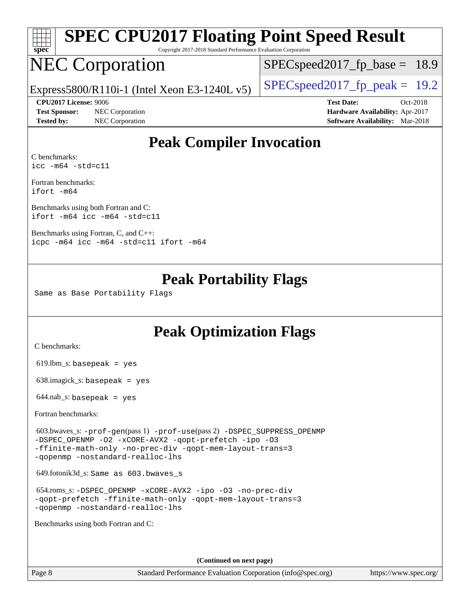| Spec | SPEC CPU2017 Floating Point Speed Result<br>Copyright 2017-2018 Standard Performance Evaluation Corporation |                                          |  |
|------|-------------------------------------------------------------------------------------------------------------|------------------------------------------|--|
|      | <b>NEC Corporation</b>                                                                                      | $\sqrt{\text{SPEC}}$ speed2017_fp_base = |  |

 $SPECspeed2017_fp\_base = 18.9$ 

Express5800/R110i-1 (Intel Xeon E3-1240L v5)  $\left|$  [SPECspeed2017\\_fp\\_peak =](http://www.spec.org/auto/cpu2017/Docs/result-fields.html#SPECspeed2017fppeak) 19.2

**[Test Sponsor:](http://www.spec.org/auto/cpu2017/Docs/result-fields.html#TestSponsor)** NEC Corporation **[Hardware Availability:](http://www.spec.org/auto/cpu2017/Docs/result-fields.html#HardwareAvailability)** Apr-2017 **[Tested by:](http://www.spec.org/auto/cpu2017/Docs/result-fields.html#Testedby)** NEC Corporation **[Software Availability:](http://www.spec.org/auto/cpu2017/Docs/result-fields.html#SoftwareAvailability)** Mar-2018

**[CPU2017 License:](http://www.spec.org/auto/cpu2017/Docs/result-fields.html#CPU2017License)** 9006 **[Test Date:](http://www.spec.org/auto/cpu2017/Docs/result-fields.html#TestDate)** Oct-2018

## **[Peak Compiler Invocation](http://www.spec.org/auto/cpu2017/Docs/result-fields.html#PeakCompilerInvocation)**

[C benchmarks](http://www.spec.org/auto/cpu2017/Docs/result-fields.html#Cbenchmarks): [icc -m64 -std=c11](http://www.spec.org/cpu2017/results/res2018q4/cpu2017-20181029-09328.flags.html#user_CCpeak_intel_icc_64bit_c11_33ee0cdaae7deeeab2a9725423ba97205ce30f63b9926c2519791662299b76a0318f32ddfffdc46587804de3178b4f9328c46fa7c2b0cd779d7a61945c91cd35)

[Fortran benchmarks](http://www.spec.org/auto/cpu2017/Docs/result-fields.html#Fortranbenchmarks): [ifort -m64](http://www.spec.org/cpu2017/results/res2018q4/cpu2017-20181029-09328.flags.html#user_FCpeak_intel_ifort_64bit_24f2bb282fbaeffd6157abe4f878425411749daecae9a33200eee2bee2fe76f3b89351d69a8130dd5949958ce389cf37ff59a95e7a40d588e8d3a57e0c3fd751)

[Benchmarks using both Fortran and C](http://www.spec.org/auto/cpu2017/Docs/result-fields.html#BenchmarksusingbothFortranandC): [ifort -m64](http://www.spec.org/cpu2017/results/res2018q4/cpu2017-20181029-09328.flags.html#user_CC_FCpeak_intel_ifort_64bit_24f2bb282fbaeffd6157abe4f878425411749daecae9a33200eee2bee2fe76f3b89351d69a8130dd5949958ce389cf37ff59a95e7a40d588e8d3a57e0c3fd751) [icc -m64 -std=c11](http://www.spec.org/cpu2017/results/res2018q4/cpu2017-20181029-09328.flags.html#user_CC_FCpeak_intel_icc_64bit_c11_33ee0cdaae7deeeab2a9725423ba97205ce30f63b9926c2519791662299b76a0318f32ddfffdc46587804de3178b4f9328c46fa7c2b0cd779d7a61945c91cd35)

[Benchmarks using Fortran, C, and C++:](http://www.spec.org/auto/cpu2017/Docs/result-fields.html#BenchmarksusingFortranCandCXX) [icpc -m64](http://www.spec.org/cpu2017/results/res2018q4/cpu2017-20181029-09328.flags.html#user_CC_CXX_FCpeak_intel_icpc_64bit_4ecb2543ae3f1412ef961e0650ca070fec7b7afdcd6ed48761b84423119d1bf6bdf5cad15b44d48e7256388bc77273b966e5eb805aefd121eb22e9299b2ec9d9) [icc -m64 -std=c11](http://www.spec.org/cpu2017/results/res2018q4/cpu2017-20181029-09328.flags.html#user_CC_CXX_FCpeak_intel_icc_64bit_c11_33ee0cdaae7deeeab2a9725423ba97205ce30f63b9926c2519791662299b76a0318f32ddfffdc46587804de3178b4f9328c46fa7c2b0cd779d7a61945c91cd35) [ifort -m64](http://www.spec.org/cpu2017/results/res2018q4/cpu2017-20181029-09328.flags.html#user_CC_CXX_FCpeak_intel_ifort_64bit_24f2bb282fbaeffd6157abe4f878425411749daecae9a33200eee2bee2fe76f3b89351d69a8130dd5949958ce389cf37ff59a95e7a40d588e8d3a57e0c3fd751)

### **[Peak Portability Flags](http://www.spec.org/auto/cpu2017/Docs/result-fields.html#PeakPortabilityFlags)**

Same as Base Portability Flags

## **[Peak Optimization Flags](http://www.spec.org/auto/cpu2017/Docs/result-fields.html#PeakOptimizationFlags)**

[C benchmarks](http://www.spec.org/auto/cpu2017/Docs/result-fields.html#Cbenchmarks):

619.lbm\_s: basepeak = yes

638.imagick\_s: basepeak = yes

 $644$ .nab\_s: basepeak = yes

[Fortran benchmarks](http://www.spec.org/auto/cpu2017/Docs/result-fields.html#Fortranbenchmarks):

 603.bwaves\_s: [-prof-gen](http://www.spec.org/cpu2017/results/res2018q4/cpu2017-20181029-09328.flags.html#user_peakPASS1_FFLAGSPASS1_LDFLAGS603_bwaves_s_prof_gen_5aa4926d6013ddb2a31985c654b3eb18169fc0c6952a63635c234f711e6e63dd76e94ad52365559451ec499a2cdb89e4dc58ba4c67ef54ca681ffbe1461d6b36)(pass 1) [-prof-use](http://www.spec.org/cpu2017/results/res2018q4/cpu2017-20181029-09328.flags.html#user_peakPASS2_FFLAGSPASS2_LDFLAGS603_bwaves_s_prof_use_1a21ceae95f36a2b53c25747139a6c16ca95bd9def2a207b4f0849963b97e94f5260e30a0c64f4bb623698870e679ca08317ef8150905d41bd88c6f78df73f19)(pass 2) [-DSPEC\\_SUPPRESS\\_OPENMP](http://www.spec.org/cpu2017/results/res2018q4/cpu2017-20181029-09328.flags.html#suite_peakPASS1_FOPTIMIZE603_bwaves_s_DSPEC_SUPPRESS_OPENMP) [-DSPEC\\_OPENMP](http://www.spec.org/cpu2017/results/res2018q4/cpu2017-20181029-09328.flags.html#suite_peakPASS2_FOPTIMIZE603_bwaves_s_DSPEC_OPENMP) [-O2](http://www.spec.org/cpu2017/results/res2018q4/cpu2017-20181029-09328.flags.html#user_peakPASS1_FOPTIMIZE603_bwaves_s_f-O2) [-xCORE-AVX2](http://www.spec.org/cpu2017/results/res2018q4/cpu2017-20181029-09328.flags.html#user_peakPASS2_FOPTIMIZE603_bwaves_s_f-xCORE-AVX2) [-qopt-prefetch](http://www.spec.org/cpu2017/results/res2018q4/cpu2017-20181029-09328.flags.html#user_peakPASS1_FOPTIMIZEPASS2_FOPTIMIZE603_bwaves_s_f-qopt-prefetch) [-ipo](http://www.spec.org/cpu2017/results/res2018q4/cpu2017-20181029-09328.flags.html#user_peakPASS2_FOPTIMIZE603_bwaves_s_f-ipo) [-O3](http://www.spec.org/cpu2017/results/res2018q4/cpu2017-20181029-09328.flags.html#user_peakPASS2_FOPTIMIZE603_bwaves_s_f-O3) [-ffinite-math-only](http://www.spec.org/cpu2017/results/res2018q4/cpu2017-20181029-09328.flags.html#user_peakPASS1_FOPTIMIZEPASS2_FOPTIMIZE603_bwaves_s_f_finite_math_only_cb91587bd2077682c4b38af759c288ed7c732db004271a9512da14a4f8007909a5f1427ecbf1a0fb78ff2a814402c6114ac565ca162485bbcae155b5e4258871) [-no-prec-div](http://www.spec.org/cpu2017/results/res2018q4/cpu2017-20181029-09328.flags.html#user_peakPASS2_FOPTIMIZE603_bwaves_s_f-no-prec-div) [-qopt-mem-layout-trans=3](http://www.spec.org/cpu2017/results/res2018q4/cpu2017-20181029-09328.flags.html#user_peakPASS1_FOPTIMIZEPASS2_FOPTIMIZE603_bwaves_s_f-qopt-mem-layout-trans_de80db37974c74b1f0e20d883f0b675c88c3b01e9d123adea9b28688d64333345fb62bc4a798493513fdb68f60282f9a726aa07f478b2f7113531aecce732043) [-qopenmp](http://www.spec.org/cpu2017/results/res2018q4/cpu2017-20181029-09328.flags.html#user_peakPASS2_FOPTIMIZE603_bwaves_s_qopenmp_16be0c44f24f464004c6784a7acb94aca937f053568ce72f94b139a11c7c168634a55f6653758ddd83bcf7b8463e8028bb0b48b77bcddc6b78d5d95bb1df2967) [-nostandard-realloc-lhs](http://www.spec.org/cpu2017/results/res2018q4/cpu2017-20181029-09328.flags.html#user_peakEXTRA_FOPTIMIZE603_bwaves_s_f_2003_std_realloc_82b4557e90729c0f113870c07e44d33d6f5a304b4f63d4c15d2d0f1fab99f5daaed73bdb9275d9ae411527f28b936061aa8b9c8f2d63842963b95c9dd6426b8a)

649.fotonik3d\_s: Same as 603.bwaves\_s

 654.roms\_s: [-DSPEC\\_OPENMP](http://www.spec.org/cpu2017/results/res2018q4/cpu2017-20181029-09328.flags.html#suite_peakFOPTIMIZE654_roms_s_DSPEC_OPENMP) [-xCORE-AVX2](http://www.spec.org/cpu2017/results/res2018q4/cpu2017-20181029-09328.flags.html#user_peakFOPTIMIZE654_roms_s_f-xCORE-AVX2) [-ipo](http://www.spec.org/cpu2017/results/res2018q4/cpu2017-20181029-09328.flags.html#user_peakFOPTIMIZE654_roms_s_f-ipo) [-O3](http://www.spec.org/cpu2017/results/res2018q4/cpu2017-20181029-09328.flags.html#user_peakFOPTIMIZE654_roms_s_f-O3) [-no-prec-div](http://www.spec.org/cpu2017/results/res2018q4/cpu2017-20181029-09328.flags.html#user_peakFOPTIMIZE654_roms_s_f-no-prec-div) [-qopt-prefetch](http://www.spec.org/cpu2017/results/res2018q4/cpu2017-20181029-09328.flags.html#user_peakFOPTIMIZE654_roms_s_f-qopt-prefetch) [-ffinite-math-only](http://www.spec.org/cpu2017/results/res2018q4/cpu2017-20181029-09328.flags.html#user_peakFOPTIMIZE654_roms_s_f_finite_math_only_cb91587bd2077682c4b38af759c288ed7c732db004271a9512da14a4f8007909a5f1427ecbf1a0fb78ff2a814402c6114ac565ca162485bbcae155b5e4258871) [-qopt-mem-layout-trans=3](http://www.spec.org/cpu2017/results/res2018q4/cpu2017-20181029-09328.flags.html#user_peakFOPTIMIZE654_roms_s_f-qopt-mem-layout-trans_de80db37974c74b1f0e20d883f0b675c88c3b01e9d123adea9b28688d64333345fb62bc4a798493513fdb68f60282f9a726aa07f478b2f7113531aecce732043) [-qopenmp](http://www.spec.org/cpu2017/results/res2018q4/cpu2017-20181029-09328.flags.html#user_peakFOPTIMIZE654_roms_s_qopenmp_16be0c44f24f464004c6784a7acb94aca937f053568ce72f94b139a11c7c168634a55f6653758ddd83bcf7b8463e8028bb0b48b77bcddc6b78d5d95bb1df2967) [-nostandard-realloc-lhs](http://www.spec.org/cpu2017/results/res2018q4/cpu2017-20181029-09328.flags.html#user_peakEXTRA_FOPTIMIZE654_roms_s_f_2003_std_realloc_82b4557e90729c0f113870c07e44d33d6f5a304b4f63d4c15d2d0f1fab99f5daaed73bdb9275d9ae411527f28b936061aa8b9c8f2d63842963b95c9dd6426b8a)

[Benchmarks using both Fortran and C](http://www.spec.org/auto/cpu2017/Docs/result-fields.html#BenchmarksusingbothFortranandC):

**(Continued on next page)**